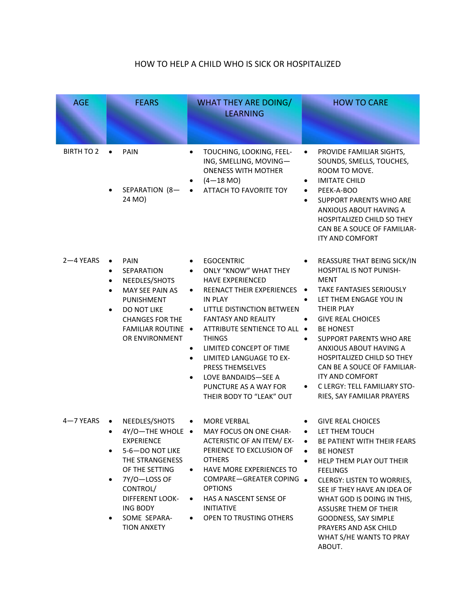## HOW TO HELP A CHILD WHO IS SICK OR HOSPITALIZED

| <b>AGE</b>        | <b>FEARS</b>                                                                                                                                                                                                                                          | <b>WHAT THEY ARE DOING/</b><br><b>LEARNING</b>                                                                                                                                                                                                                                                                                                                                                                           | <b>HOW TO CARE</b>                                                                                                                                                                                                                                                                                                                                                                                                                  |
|-------------------|-------------------------------------------------------------------------------------------------------------------------------------------------------------------------------------------------------------------------------------------------------|--------------------------------------------------------------------------------------------------------------------------------------------------------------------------------------------------------------------------------------------------------------------------------------------------------------------------------------------------------------------------------------------------------------------------|-------------------------------------------------------------------------------------------------------------------------------------------------------------------------------------------------------------------------------------------------------------------------------------------------------------------------------------------------------------------------------------------------------------------------------------|
| <b>BIRTH TO 2</b> | <b>PAIN</b><br>$\bullet$<br>SEPARATION (8-<br>24 MO)                                                                                                                                                                                                  | TOUCHING, LOOKING, FEEL-<br>ING, SMELLING, MOVING-<br><b>ONENESS WITH MOTHER</b><br>$(4-18$ MO)<br>ATTACH TO FAVORITE TOY                                                                                                                                                                                                                                                                                                | PROVIDE FAMILIAR SIGHTS,<br>$\bullet$<br>SOUNDS, SMELLS, TOUCHES,<br>ROOM TO MOVE.<br><b>IMITATE CHILD</b><br>$\bullet$<br>PEEK-A-BOO<br>$\bullet$<br><b>SUPPORT PARENTS WHO ARE</b><br>$\bullet$<br>ANXIOUS ABOUT HAVING A<br>HOSPITALIZED CHILD SO THEY<br>CAN BE A SOUCE OF FAMILIAR-<br>ITY AND COMFORT                                                                                                                         |
| 2-4 YEARS         | <b>PAIN</b><br>$\bullet$<br><b>SEPARATION</b><br>٠<br>NEEDLES/SHOTS<br>$\bullet$<br>MAY SEE PAIN AS<br>$\bullet$<br><b>PUNISHMENT</b><br>DO NOT LIKE<br>$\bullet$<br><b>CHANGES FOR THE</b><br><b>FAMILIAR ROUTINE .</b><br>OR ENVIRONMENT            | <b>EGOCENTRIC</b><br><b>ONLY "KNOW" WHAT THEY</b><br><b>HAVE EXPERIENCED</b><br><b>REENACT THEIR EXPERIENCES</b><br>$\bullet$<br>IN PLAY<br>LITTLE DISTINCTION BETWEEN<br><b>FANTASY AND REALITY</b><br>ATTRIBUTE SENTIENCE TO ALL .<br><b>THINGS</b><br>LIMITED CONCEPT OF TIME<br>$\bullet$<br>LIMITED LANGUAGE TO EX-<br>PRESS THEMSELVES<br>LOVE BANDAIDS-SEE A<br>PUNCTURE AS A WAY FOR<br>THEIR BODY TO "LEAK" OUT | REASSURE THAT BEING SICK/IN<br>HOSPITAL IS NOT PUNISH-<br>MENT<br>TAKE FANTASIES SERIOUSLY<br>$\bullet$<br>LET THEM ENGAGE YOU IN<br>$\bullet$<br>THEIR PLAY<br><b>GIVE REAL CHOICES</b><br>$\bullet$<br><b>BE HONEST</b><br>SUPPORT PARENTS WHO ARE<br>ANXIOUS ABOUT HAVING A<br>HOSPITALIZED CHILD SO THEY<br>CAN BE A SOUCE OF FAMILIAR-<br><b>ITY AND COMFORT</b><br>C LERGY: TELL FAMILIARY STO-<br>RIES, SAY FAMILIAR PRAYERS |
| 4-7 YEARS         | NEEDLES/SHOTS<br>$\bullet$<br>4Y/O-THE WHOLE .<br><b>EXPERIENCE</b><br>5-6-DO NOT LIKE<br>٠<br>THE STRANGENESS<br>OF THE SETTING<br>7Y/O-LOSS OF<br>$\bullet$<br>CONTROL/<br><b>DIFFERENT LOOK-</b><br>ING BODY<br>SOME SEPARA-<br><b>TION ANXETY</b> | <b>MORE VERBAL</b><br>$\bullet$<br>MAY FOCUS ON ONE CHAR-<br>ACTERISTIC OF AN ITEM/ EX-<br>PERIENCE TO EXCLUSION OF<br><b>OTHERS</b><br>HAVE MORE EXPERIENCES TO<br>$\bullet$<br>COMPARE-GREATER COPING .<br><b>OPTIONS</b><br>HAS A NASCENT SENSE OF<br><b>INITIATIVE</b><br>OPEN TO TRUSTING OTHERS                                                                                                                    | <b>GIVE REAL CHOICES</b><br>LET THEM TOUCH<br>$\bullet$<br>BE PATIENT WITH THEIR FEARS<br><b>BE HONEST</b><br>$\bullet$<br>HELP THEM PLAY OUT THEIR<br>$\bullet$<br><b>FEELINGS</b><br><b>CLERGY: LISTEN TO WORRIES,</b><br>SEE IF THEY HAVE AN IDEA OF<br>WHAT GOD IS DOING IN THIS,<br><b>ASSUSRE THEM OF THEIR</b><br>GOODNESS, SAY SIMPLE<br>PRAYERS AND ASK CHILD<br>WHAT S/HE WANTS TO PRAY<br>ABOUT.                         |